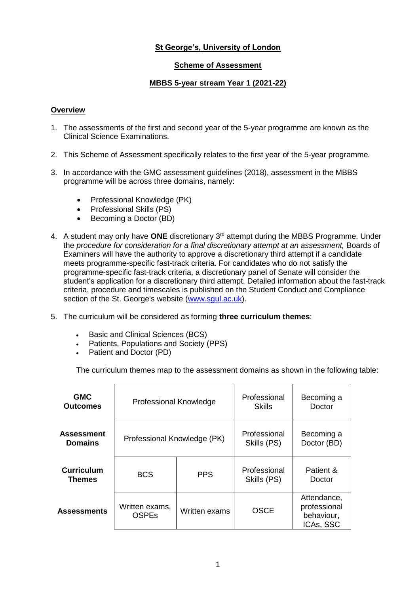# **St George's, University of London**

### **Scheme of Assessment**

## **MBBS 5-year stream Year 1 (2021-22)**

#### **Overview**

- 1. The assessments of the first and second year of the 5-year programme are known as the Clinical Science Examinations.
- 2. This Scheme of Assessment specifically relates to the first year of the 5-year programme*.*
- 3. In accordance with the GMC assessment guidelines (2018), assessment in the MBBS programme will be across three domains, namely:
	- Professional Knowledge (PK)
	- Professional Skills (PS)
	- Becoming a Doctor (BD)
- 4. A student may only have **ONE** discretionary 3rd attempt during the MBBS Programme. Under the *procedure for consideration for a final discretionary attempt at an assessment*, Boards of Examiners will have the authority to approve a discretionary third attempt if a candidate meets programme-specific fast-track criteria. For candidates who do not satisfy the programme-specific fast-track criteria, a discretionary panel of Senate will consider the student's application for a discretionary third attempt. Detailed information about the fast-track criteria, procedure and timescales is published on the Student Conduct and Compliance section of the St. George's website (www.squl.ac.uk).
- 5. The curriculum will be considered as forming **three curriculum themes**:
	- Basic and Clinical Sciences (BCS)
	- Patients, Populations and Society (PPS)
	- Patient and Doctor (PD)

The curriculum themes map to the assessment domains as shown in the following table:

| <b>GMC</b>                  | <b>Professional Knowledge</b>  |               | Professional                | Becoming a                                             |
|-----------------------------|--------------------------------|---------------|-----------------------------|--------------------------------------------------------|
| <b>Outcomes</b>             |                                |               | <b>Skills</b>               | Doctor                                                 |
| <b>Assessment</b>           | Professional Knowledge (PK)    |               | Professional                | Becoming a                                             |
| <b>Domains</b>              |                                |               | Skills (PS)                 | Doctor (BD)                                            |
| <b>Curriculum</b><br>Themes | <b>BCS</b>                     | <b>PPS</b>    | Professional<br>Skills (PS) | Patient &<br>Doctor                                    |
| <b>Assessments</b>          | Written exams,<br><b>OSPEs</b> | Written exams | <b>OSCE</b>                 | Attendance,<br>professional<br>behaviour,<br>ICAs, SSC |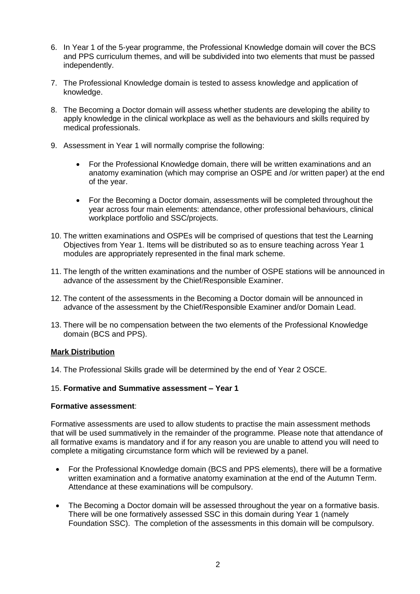- 6. In Year 1 of the 5-year programme, the Professional Knowledge domain will cover the BCS and PPS curriculum themes, and will be subdivided into two elements that must be passed independently.
- 7. The Professional Knowledge domain is tested to assess knowledge and application of knowledge.
- 8. The Becoming a Doctor domain will assess whether students are developing the ability to apply knowledge in the clinical workplace as well as the behaviours and skills required by medical professionals.
- 9. Assessment in Year 1 will normally comprise the following:
	- For the Professional Knowledge domain, there will be written examinations and an anatomy examination (which may comprise an OSPE and /or written paper) at the end of the year.
	- For the Becoming a Doctor domain, assessments will be completed throughout the year across four main elements: attendance, other professional behaviours, clinical workplace portfolio and SSC/projects.
- 10. The written examinations and OSPEs will be comprised of questions that test the Learning Objectives from Year 1. Items will be distributed so as to ensure teaching across Year 1 modules are appropriately represented in the final mark scheme.
- 11. The length of the written examinations and the number of OSPE stations will be announced in advance of the assessment by the Chief/Responsible Examiner.
- 12. The content of the assessments in the Becoming a Doctor domain will be announced in advance of the assessment by the Chief/Responsible Examiner and/or Domain Lead.
- 13. There will be no compensation between the two elements of the Professional Knowledge domain (BCS and PPS).

## **Mark Distribution**

14. The Professional Skills grade will be determined by the end of Year 2 OSCE.

## 15. **Formative and Summative assessment – Year 1**

#### **Formative assessment**:

Formative assessments are used to allow students to practise the main assessment methods that will be used summatively in the remainder of the programme. Please note that attendance of all formative exams is mandatory and if for any reason you are unable to attend you will need to complete a mitigating circumstance form which will be reviewed by a panel.

- For the Professional Knowledge domain (BCS and PPS elements), there will be a formative written examination and a formative anatomy examination at the end of the Autumn Term. Attendance at these examinations will be compulsory.
- The Becoming a Doctor domain will be assessed throughout the year on a formative basis. There will be one formatively assessed SSC in this domain during Year 1 (namely Foundation SSC). The completion of the assessments in this domain will be compulsory.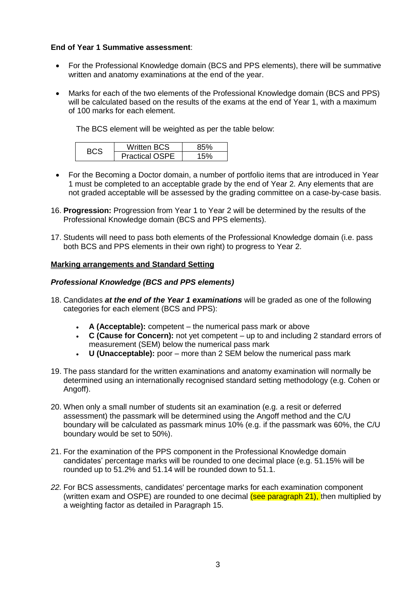## **End of Year 1 Summative assessment**:

- For the Professional Knowledge domain (BCS and PPS elements), there will be summative written and anatomy examinations at the end of the year.
- Marks for each of the two elements of the Professional Knowledge domain (BCS and PPS) will be calculated based on the results of the exams at the end of Year 1, with a maximum of 100 marks for each element.

The BCS element will be weighted as per the table below:

| Written BCS           |  |
|-----------------------|--|
| <b>Practical OSPF</b> |  |

- For the Becoming a Doctor domain, a number of portfolio items that are introduced in Year 1 must be completed to an acceptable grade by the end of Year 2. Any elements that are not graded acceptable will be assessed by the grading committee on a case-by-case basis.
- 16. **Progression:** Progression from Year 1 to Year 2 will be determined by the results of the Professional Knowledge domain (BCS and PPS elements).
- 17. Students will need to pass both elements of the Professional Knowledge domain (i.e. pass both BCS and PPS elements in their own right) to progress to Year 2.

#### **Marking arrangements and Standard Setting**

#### *Professional Knowledge (BCS and PPS elements)*

- 18. Candidates *at the end of the Year 1 examinations* will be graded as one of the following categories for each element (BCS and PPS):
	- **A (Acceptable):** competent the numerical pass mark or above
	- **C (Cause for Concern):** not yet competent up to and including 2 standard errors of measurement (SEM) below the numerical pass mark
	- **U (Unacceptable):** poor more than 2 SEM below the numerical pass mark
- 19. The pass standard for the written examinations and anatomy examination will normally be determined using an internationally recognised standard setting methodology (e.g. Cohen or Angoff).
- 20. When only a small number of students sit an examination (e.g. a resit or deferred assessment) the passmark will be determined using the Angoff method and the C/U boundary will be calculated as passmark minus 10% (e.g. if the passmark was 60%, the C/U boundary would be set to 50%).
- 21. For the examination of the PPS component in the Professional Knowledge domain candidates' percentage marks will be rounded to one decimal place (e.g. 51.15% will be rounded up to 51.2% and 51.14 will be rounded down to 51.1.
- *22.* For BCS assessments, candidates' percentage marks for each examination component (written exam and OSPE) are rounded to one decimal (see paragraph 21), then multiplied by a weighting factor as detailed in Paragraph 15.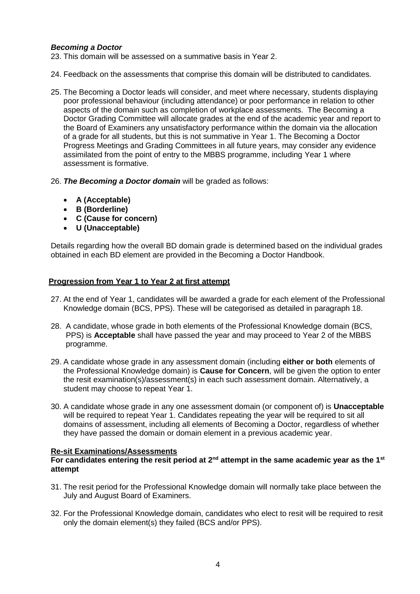## *Becoming a Doctor*

23. This domain will be assessed on a summative basis in Year 2.

- 24. Feedback on the assessments that comprise this domain will be distributed to candidates.
- 25. The Becoming a Doctor leads will consider, and meet where necessary, students displaying poor professional behaviour (including attendance) or poor performance in relation to other aspects of the domain such as completion of workplace assessments. The Becoming a Doctor Grading Committee will allocate grades at the end of the academic year and report to the Board of Examiners any unsatisfactory performance within the domain via the allocation of a grade for all students, but this is not summative in Year 1. The Becoming a Doctor Progress Meetings and Grading Committees in all future years, may consider any evidence assimilated from the point of entry to the MBBS programme, including Year 1 where assessment is formative.
- 26. *The Becoming a Doctor domain* will be graded as follows:
	- **A (Acceptable)**
	- **B (Borderline)**
	- **C (Cause for concern)**
	- **U (Unacceptable)**

Details regarding how the overall BD domain grade is determined based on the individual grades obtained in each BD element are provided in the Becoming a Doctor Handbook.

## **Progression from Year 1 to Year 2 at first attempt**

- 27. At the end of Year 1, candidates will be awarded a grade for each element of the Professional Knowledge domain (BCS, PPS). These will be categorised as detailed in paragraph 18.
- 28. A candidate, whose grade in both elements of the Professional Knowledge domain (BCS, PPS) is **Acceptable** shall have passed the year and may proceed to Year 2 of the MBBS programme.
- 29. A candidate whose grade in any assessment domain (including **either or both** elements of the Professional Knowledge domain) is **Cause for Concern**, will be given the option to enter the resit examination(s)/assessment(s) in each such assessment domain. Alternatively, a student may choose to repeat Year 1.
- 30. A candidate whose grade in any one assessment domain (or component of) is **Unacceptable**  will be required to repeat Year 1. Candidates repeating the year will be required to sit all domains of assessment, including all elements of Becoming a Doctor, regardless of whether they have passed the domain or domain element in a previous academic year.

#### **Re-sit Examinations/Assessments**

### **For candidates entering the resit period at 2nd attempt in the same academic year as the 1st attempt**

- 31. The resit period for the Professional Knowledge domain will normally take place between the July and August Board of Examiners.
- 32. For the Professional Knowledge domain, candidates who elect to resit will be required to resit only the domain element(s) they failed (BCS and/or PPS).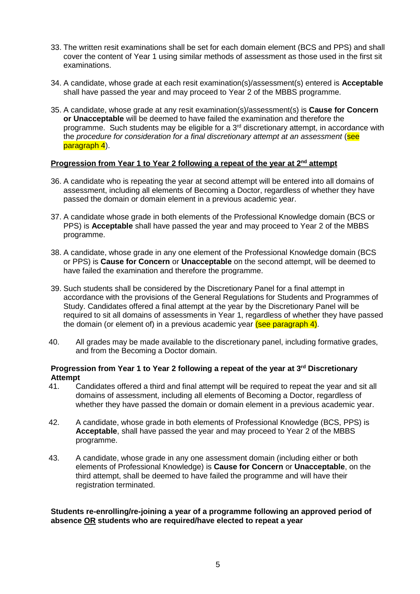- 33. The written resit examinations shall be set for each domain element (BCS and PPS) and shall cover the content of Year 1 using similar methods of assessment as those used in the first sit examinations.
- 34. A candidate, whose grade at each resit examination(s)/assessment(s) entered is **Acceptable** shall have passed the year and may proceed to Year 2 of the MBBS programme.
- 35. A candidate, whose grade at any resit examination(s)/assessment(s) is **Cause for Concern or Unacceptable** will be deemed to have failed the examination and therefore the programme. Such students may be eligible for a  $3<sup>rd</sup>$  discretionary attempt, in accordance with the *procedure for consideration for a final discretionary attempt at an assessment* (see paragraph 4).

## **Progression from Year 1 to Year 2 following a repeat of the year at 2nd attempt**

- 36. A candidate who is repeating the year at second attempt will be entered into all domains of assessment, including all elements of Becoming a Doctor, regardless of whether they have passed the domain or domain element in a previous academic year.
- 37. A candidate whose grade in both elements of the Professional Knowledge domain (BCS or PPS) is **Acceptable** shall have passed the year and may proceed to Year 2 of the MBBS programme.
- 38. A candidate, whose grade in any one element of the Professional Knowledge domain (BCS or PPS) is **Cause for Concern** or **Unacceptable** on the second attempt, will be deemed to have failed the examination and therefore the programme.
- 39. Such students shall be considered by the Discretionary Panel for a final attempt in accordance with the provisions of the General Regulations for Students and Programmes of Study. Candidates offered a final attempt at the year by the Discretionary Panel will be required to sit all domains of assessments in Year 1, regardless of whether they have passed the domain (or element of) in a previous academic year (see paragraph 4).
- 40. All grades may be made available to the discretionary panel, including formative grades, and from the Becoming a Doctor domain.

## **Progression from Year 1 to Year 2 following a repeat of the year at 3rd Discretionary Attempt**

- 41. Candidates offered a third and final attempt will be required to repeat the year and sit all domains of assessment, including all elements of Becoming a Doctor, regardless of whether they have passed the domain or domain element in a previous academic year.
- 42. A candidate, whose grade in both elements of Professional Knowledge (BCS, PPS) is **Acceptable**, shall have passed the year and may proceed to Year 2 of the MBBS programme.
- 43. A candidate, whose grade in any one assessment domain (including either or both elements of Professional Knowledge) is **Cause for Concern** or **Unacceptable**, on the third attempt, shall be deemed to have failed the programme and will have their registration terminated.

**Students re-enrolling/re-joining a year of a programme following an approved period of absence OR students who are required/have elected to repeat a year**